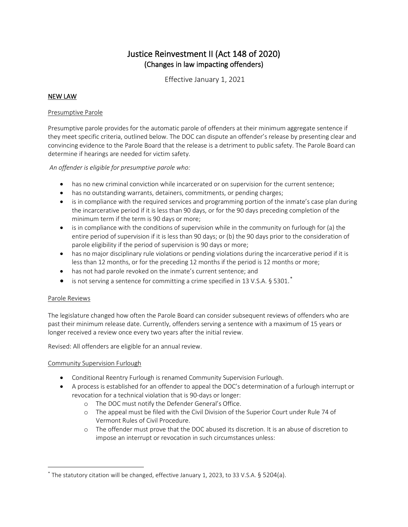# Justice Reinvestment II (Act 148 of 2020) (Changes in law impacting offenders)

Effective January 1, 2021

## NEW LAW

#### Presumptive Parole

Presumptive parole provides for the automatic parole of offenders at their minimum aggregate sentence if they meet specific criteria, outlined below. The DOC can dispute an offender's release by presenting clear and convincing evidence to the Parole Board that the release is a detriment to public safety. The Parole Board can determine if hearings are needed for victim safety.

## *An offender is eligible for presumptive parole who:*

- has no new criminal conviction while incarcerated or on supervision for the current sentence;
- has no outstanding warrants, detainers, commitments, or pending charges;
- is in compliance with the required services and programming portion of the inmate's case plan during the incarcerative period if it is less than 90 days, or for the 90 days preceding completion of the minimum term if the term is 90 days or more;
- is in compliance with the conditions of supervision while in the community on furlough for (a) the entire period of supervision if it is less than 90 days; or (b) the 90 days prior to the consideration of parole eligibility if the period of supervision is 90 days or more;
- has no major disciplinary rule violations or pending violations during the incarcerative period if it is less than 12 months, or for the preceding 12 months if the period is 12 months or more;
- has not had parole revoked on the inmate's current sentence; and
- $\bullet$  is not serving a sentence for committing a crime specified in 13 V.S.A. § 5301.

## Parole Reviews

The legislature changed how often the Parole Board can consider subsequent reviews of offenders who are past their minimum release date. Currently, offenders serving a sentence with a maximum of 15 years or longer received a review once every two years after the initial review.

Revised: All offenders are eligible for an annual review.

## Community Supervision Furlough

- Conditional Reentry Furlough is renamed Community Supervision Furlough.
- A process is established for an offender to appeal the DOC's determination of a furlough interrupt or revocation for a technical violation that is 90-days or longer:
	- o The DOC must notify the Defender General's Office.
	- o The appeal must be filed with the Civil Division of the Superior Court under Rule 74 of Vermont Rules of Civil Procedure.
	- o The offender must prove that the DOC abused its discretion. It is an abuse of discretion to impose an interrupt or revocation in such circumstances unless:

<span id="page-0-0"></span><sup>\*</sup> The statutory citation will be changed, effective January 1, 2023, to 33 V.S.A. § 5204(a).